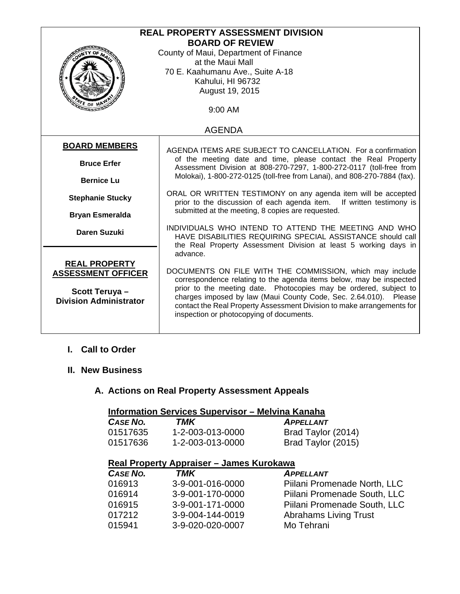| <b>REAL PROPERTY ASSESSMENT DIVISION</b> |                                                                                                                                                                                        |  |
|------------------------------------------|----------------------------------------------------------------------------------------------------------------------------------------------------------------------------------------|--|
| <b>BOARD OF REVIEW</b>                   |                                                                                                                                                                                        |  |
|                                          | County of Maui, Department of Finance                                                                                                                                                  |  |
|                                          | at the Maui Mall                                                                                                                                                                       |  |
|                                          | 70 E. Kaahumanu Ave., Suite A-18                                                                                                                                                       |  |
|                                          | Kahului, HI 96732                                                                                                                                                                      |  |
|                                          | August 19, 2015                                                                                                                                                                        |  |
|                                          |                                                                                                                                                                                        |  |
| $\tau_{\epsilon}$ or $\eta$<br>9:00 AM   |                                                                                                                                                                                        |  |
| <b>AGENDA</b>                            |                                                                                                                                                                                        |  |
| <b>BOARD MEMBERS</b>                     | AGENDA ITEMS ARE SUBJECT TO CANCELLATION. For a confirmation                                                                                                                           |  |
|                                          | of the meeting date and time, please contact the Real Property                                                                                                                         |  |
| <b>Bruce Erfer</b>                       | Assessment Division at 808-270-7297, 1-800-272-0117 (toll-free from<br>Molokai), 1-800-272-0125 (toll-free from Lanai), and 808-270-7884 (fax).                                        |  |
| <b>Bernice Lu</b>                        |                                                                                                                                                                                        |  |
| <b>Stephanie Stucky</b>                  | ORAL OR WRITTEN TESTIMONY on any agenda item will be accepted<br>prior to the discussion of each agenda item.<br>If written testimony is                                               |  |
|                                          | submitted at the meeting, 8 copies are requested.                                                                                                                                      |  |
| <b>Bryan Esmeralda</b>                   |                                                                                                                                                                                        |  |
| <b>Daren Suzuki</b>                      | INDIVIDUALS WHO INTEND TO ATTEND THE MEETING AND WHO<br>HAVE DISABILITIES REQUIRING SPECIAL ASSISTANCE should call<br>the Real Property Assessment Division at least 5 working days in |  |
|                                          | advance.                                                                                                                                                                               |  |
| <b>REAL PROPERTY</b>                     |                                                                                                                                                                                        |  |
| <b>ASSESSMENT OFFICER</b>                | DOCUMENTS ON FILE WITH THE COMMISSION, which may include                                                                                                                               |  |
|                                          | correspondence relating to the agenda items below, may be inspected                                                                                                                    |  |
| Scott Teruya-                            | prior to the meeting date. Photocopies may be ordered, subject to                                                                                                                      |  |
| <b>Division Administrator</b>            | charges imposed by law (Maui County Code, Sec. 2.64.010). Please                                                                                                                       |  |
|                                          | contact the Real Property Assessment Division to make arrangements for                                                                                                                 |  |
|                                          | inspection or photocopying of documents.                                                                                                                                               |  |
|                                          |                                                                                                                                                                                        |  |

## **I. Call to Order**

#### **II. New Business**

# **A. Actions on Real Property Assessment Appeals**

## **Information Services Supervisor – Melvina Kanaha**

| CASE NO. | TMK              | <b>APPELLANT</b>   |
|----------|------------------|--------------------|
| 01517635 | 1-2-003-013-0000 | Brad Taylor (2014) |
| 01517636 | 1-2-003-013-0000 | Brad Taylor (2015) |

### **Real Property Appraiser – James Kurokawa**

| CASE NO. | TMK              | <b>APPELLANT</b>             |
|----------|------------------|------------------------------|
| 016913   | 3-9-001-016-0000 | Piilani Promenade North, LLC |
| 016914   | 3-9-001-170-0000 | Piilani Promenade South, LLC |
| 016915   | 3-9-001-171-0000 | Piilani Promenade South, LLC |
| 017212   | 3-9-004-144-0019 | <b>Abrahams Living Trust</b> |
| 015941   | 3-9-020-020-0007 | Mo Tehrani                   |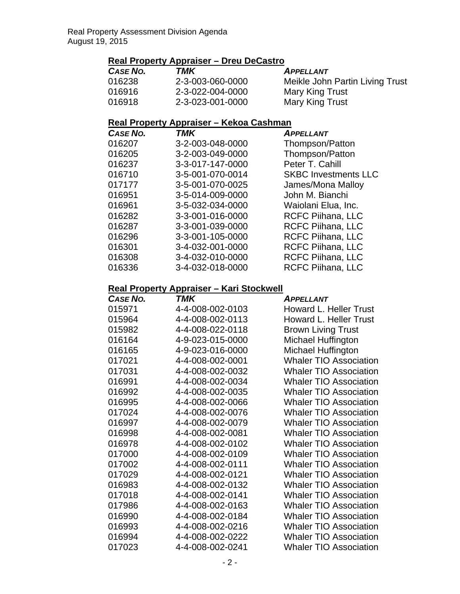## **Real Property Appraiser – Dreu DeCastro**

| <b>CASE NO.</b> | TMK              | <b>APPELLANT</b>                |
|-----------------|------------------|---------------------------------|
| 016238          | 2-3-003-060-0000 | Meikle John Partin Living Trust |
| 016916          | 2-3-022-004-0000 | Mary King Trust                 |
| 016918          | 2-3-023-001-0000 | Mary King Trust                 |

## **Real Property Appraiser – Kekoa Cashman**

| <b>CASE NO.</b> | TMK              | <b>APPELLANT</b>            |
|-----------------|------------------|-----------------------------|
| 016207          | 3-2-003-048-0000 | Thompson/Patton             |
| 016205          | 3-2-003-049-0000 | Thompson/Patton             |
| 016237          | 3-3-017-147-0000 | Peter T. Cahill             |
| 016710          | 3-5-001-070-0014 | <b>SKBC Investments LLC</b> |
| 017177          | 3-5-001-070-0025 | James/Mona Malloy           |
| 016951          | 3-5-014-009-0000 | John M. Bianchi             |
| 016961          | 3-5-032-034-0000 | Waiolani Elua, Inc.         |
| 016282          | 3-3-001-016-0000 | <b>RCFC Piihana, LLC</b>    |
| 016287          | 3-3-001-039-0000 | <b>RCFC Piihana, LLC</b>    |
| 016296          | 3-3-001-105-0000 | <b>RCFC Piihana, LLC</b>    |
| 016301          | 3-4-032-001-0000 | <b>RCFC Piihana, LLC</b>    |
| 016308          | 3-4-032-010-0000 | <b>RCFC Piihana, LLC</b>    |
| 016336          | 3-4-032-018-0000 | RCFC Piihana, LLC           |

### **Real Property Appraiser – Kari Stockwell**

| <b>CASE NO.</b> | <b>TMK</b>       | <b>APPELLANT</b>              |
|-----------------|------------------|-------------------------------|
| 015971          | 4-4-008-002-0103 | <b>Howard L. Heller Trust</b> |
| 015964          | 4-4-008-002-0113 | <b>Howard L. Heller Trust</b> |
| 015982          | 4-4-008-022-0118 | <b>Brown Living Trust</b>     |
| 016164          | 4-9-023-015-0000 | Michael Huffington            |
| 016165          | 4-9-023-016-0000 | Michael Huffington            |
| 017021          | 4-4-008-002-0001 | <b>Whaler TIO Association</b> |
| 017031          | 4-4-008-002-0032 | <b>Whaler TIO Association</b> |
| 016991          | 4-4-008-002-0034 | <b>Whaler TIO Association</b> |
| 016992          | 4-4-008-002-0035 | <b>Whaler TIO Association</b> |
| 016995          | 4-4-008-002-0066 | <b>Whaler TIO Association</b> |
| 017024          | 4-4-008-002-0076 | <b>Whaler TIO Association</b> |
| 016997          | 4-4-008-002-0079 | <b>Whaler TIO Association</b> |
| 016998          | 4-4-008-002-0081 | <b>Whaler TIO Association</b> |
| 016978          | 4-4-008-002-0102 | <b>Whaler TIO Association</b> |
| 017000          | 4-4-008-002-0109 | <b>Whaler TIO Association</b> |
| 017002          | 4-4-008-002-0111 | <b>Whaler TIO Association</b> |
| 017029          | 4-4-008-002-0121 | <b>Whaler TIO Association</b> |
| 016983          | 4-4-008-002-0132 | <b>Whaler TIO Association</b> |
| 017018          | 4-4-008-002-0141 | <b>Whaler TIO Association</b> |
| 017986          | 4-4-008-002-0163 | <b>Whaler TIO Association</b> |
| 016990          | 4-4-008-002-0184 | <b>Whaler TIO Association</b> |
| 016993          | 4-4-008-002-0216 | <b>Whaler TIO Association</b> |
| 016994          | 4-4-008-002-0222 | <b>Whaler TIO Association</b> |
| 017023          | 4-4-008-002-0241 | <b>Whaler TIO Association</b> |